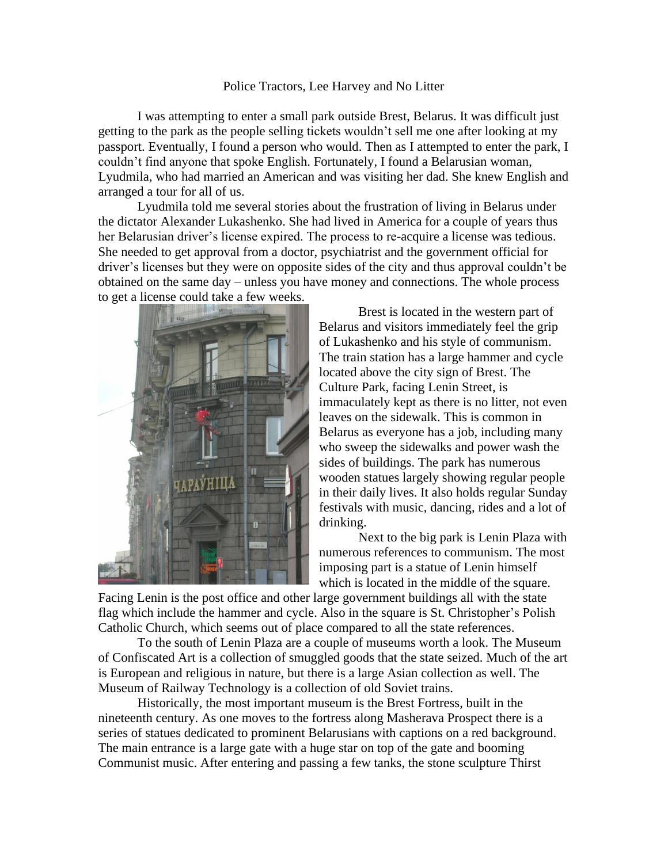## Police Tractors, Lee Harvey and No Litter

I was attempting to enter a small park outside Brest, Belarus. It was difficult just getting to the park as the people selling tickets wouldn't sell me one after looking at my passport. Eventually, I found a person who would. Then as I attempted to enter the park, I couldn't find anyone that spoke English. Fortunately, I found a Belarusian woman, Lyudmila, who had married an American and was visiting her dad. She knew English and arranged a tour for all of us.

Lyudmila told me several stories about the frustration of living in Belarus under the dictator Alexander Lukashenko. She had lived in America for a couple of years thus her Belarusian driver's license expired. The process to re-acquire a license was tedious. She needed to get approval from a doctor, psychiatrist and the government official for driver's licenses but they were on opposite sides of the city and thus approval couldn't be obtained on the same day – unless you have money and connections. The whole process to get a license could take a few weeks.



Brest is located in the western part of Belarus and visitors immediately feel the grip of Lukashenko and his style of communism. The train station has a large hammer and cycle located above the city sign of Brest. The Culture Park, facing Lenin Street, is immaculately kept as there is no litter, not even leaves on the sidewalk. This is common in Belarus as everyone has a job, including many who sweep the sidewalks and power wash the sides of buildings. The park has numerous wooden statues largely showing regular people in their daily lives. It also holds regular Sunday festivals with music, dancing, rides and a lot of drinking.

Next to the big park is Lenin Plaza with numerous references to communism. The most imposing part is a statue of Lenin himself which is located in the middle of the square.

Facing Lenin is the post office and other large government buildings all with the state flag which include the hammer and cycle. Also in the square is St. Christopher's Polish Catholic Church, which seems out of place compared to all the state references.

To the south of Lenin Plaza are a couple of museums worth a look. The Museum of Confiscated Art is a collection of smuggled goods that the state seized. Much of the art is European and religious in nature, but there is a large Asian collection as well. The Museum of Railway Technology is a collection of old Soviet trains.

Historically, the most important museum is the Brest Fortress, built in the nineteenth century. As one moves to the fortress along Masherava Prospect there is a series of statues dedicated to prominent Belarusians with captions on a red background. The main entrance is a large gate with a huge star on top of the gate and booming Communist music. After entering and passing a few tanks, the stone sculpture Thirst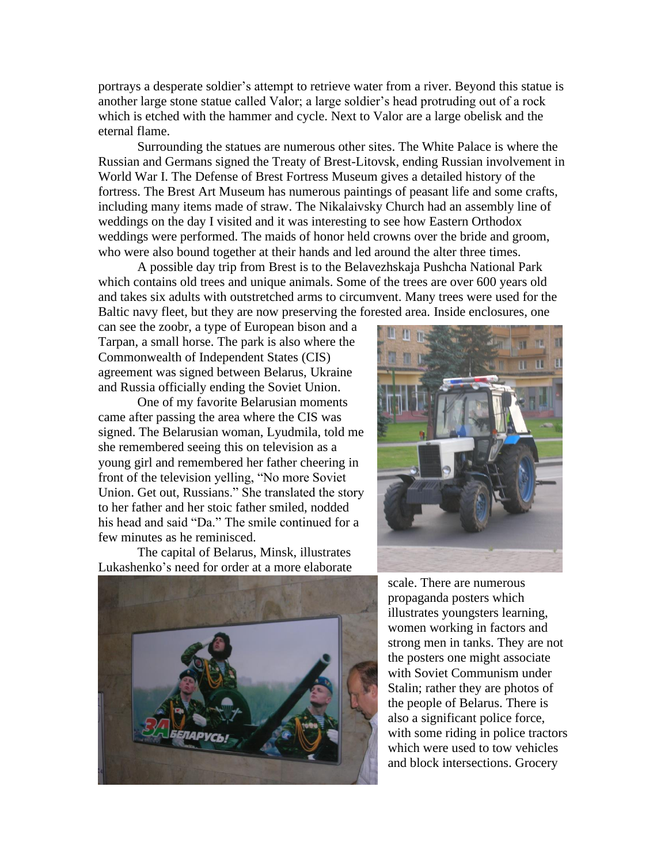portrays a desperate soldier's attempt to retrieve water from a river. Beyond this statue is another large stone statue called Valor; a large soldier's head protruding out of a rock which is etched with the hammer and cycle. Next to Valor are a large obelisk and the eternal flame.

Surrounding the statues are numerous other sites. The White Palace is where the Russian and Germans signed the Treaty of Brest-Litovsk, ending Russian involvement in World War I. The Defense of Brest Fortress Museum gives a detailed history of the fortress. The Brest Art Museum has numerous paintings of peasant life and some crafts, including many items made of straw. The Nikalaivsky Church had an assembly line of weddings on the day I visited and it was interesting to see how Eastern Orthodox weddings were performed. The maids of honor held crowns over the bride and groom, who were also bound together at their hands and led around the alter three times.

A possible day trip from Brest is to the Belavezhskaja Pushcha National Park which contains old trees and unique animals. Some of the trees are over 600 years old and takes six adults with outstretched arms to circumvent. Many trees were used for the Baltic navy fleet, but they are now preserving the forested area. Inside enclosures, one

can see the zoobr, a type of European bison and a Tarpan, a small horse. The park is also where the Commonwealth of Independent States (CIS) agreement was signed between Belarus, Ukraine and Russia officially ending the Soviet Union.

One of my favorite Belarusian moments came after passing the area where the CIS was signed. The Belarusian woman, Lyudmila, told me she remembered seeing this on television as a young girl and remembered her father cheering in front of the television yelling, "No more Soviet Union. Get out, Russians." She translated the story to her father and her stoic father smiled, nodded his head and said "Da." The smile continued for a few minutes as he reminisced.

The capital of Belarus, Minsk, illustrates Lukashenko's need for order at a more elaborate





scale. There are numerous propaganda posters which illustrates youngsters learning, women working in factors and strong men in tanks. They are not the posters one might associate with Soviet Communism under Stalin; rather they are photos of the people of Belarus. There is also a significant police force, with some riding in police tractors which were used to tow vehicles and block intersections. Grocery